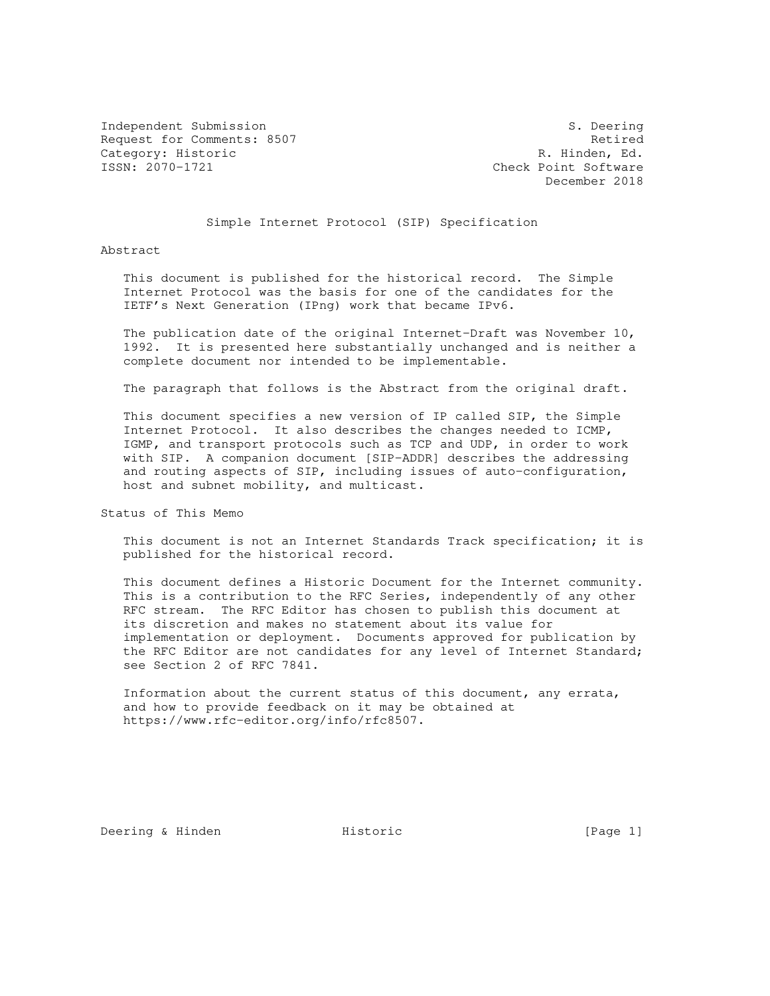Independent Submission S. Deering Request for Comments: 8507 Request for Comments: 8507 Category: Historic R. Hinden, Ed. (1997) ESSN: 2070-1721

Check Point Software December 2018

## Simple Internet Protocol (SIP) Specification

Abstract

 This document is published for the historical record. The Simple Internet Protocol was the basis for one of the candidates for the IETF's Next Generation (IPng) work that became IPv6.

 The publication date of the original Internet-Draft was November 10, 1992. It is presented here substantially unchanged and is neither a complete document nor intended to be implementable.

The paragraph that follows is the Abstract from the original draft.

 This document specifies a new version of IP called SIP, the Simple Internet Protocol. It also describes the changes needed to ICMP, IGMP, and transport protocols such as TCP and UDP, in order to work with SIP. A companion document [SIP-ADDR] describes the addressing and routing aspects of SIP, including issues of auto-configuration, host and subnet mobility, and multicast.

Status of This Memo

 This document is not an Internet Standards Track specification; it is published for the historical record.

 This document defines a Historic Document for the Internet community. This is a contribution to the RFC Series, independently of any other RFC stream. The RFC Editor has chosen to publish this document at its discretion and makes no statement about its value for implementation or deployment. Documents approved for publication by the RFC Editor are not candidates for any level of Internet Standard; see Section 2 of RFC 7841.

 Information about the current status of this document, any errata, and how to provide feedback on it may be obtained at https://www.rfc-editor.org/info/rfc8507.

Deering & Hinden **Historic** Historic [Page 1]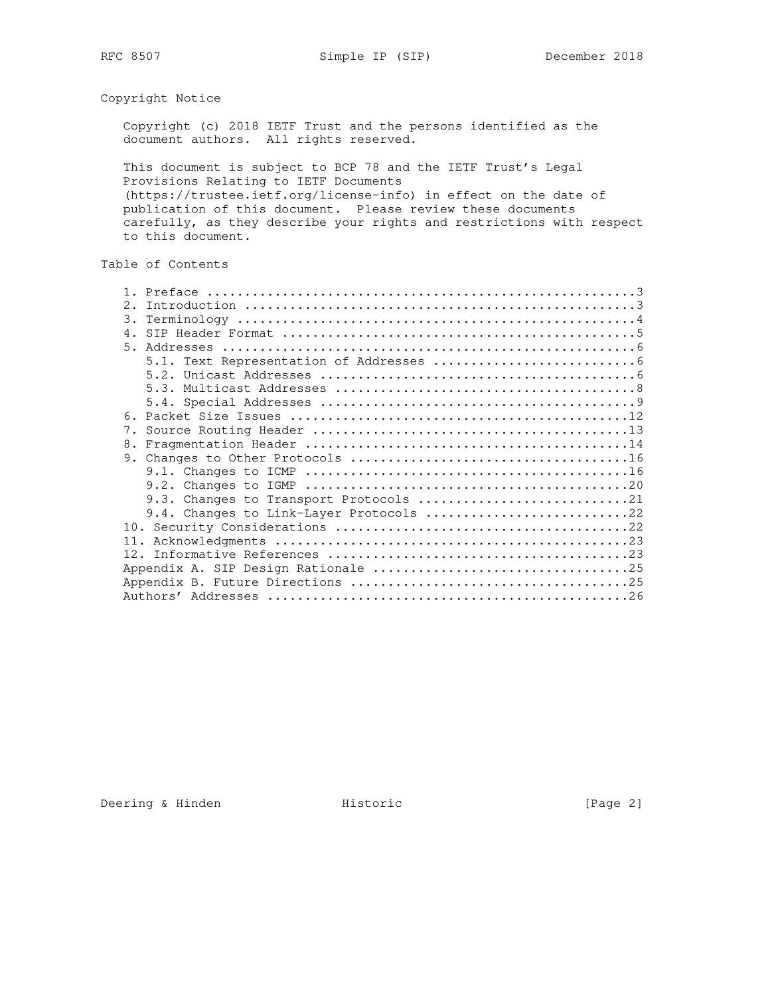Copyright Notice

 Copyright (c) 2018 IETF Trust and the persons identified as the document authors. All rights reserved.

 This document is subject to BCP 78 and the IETF Trust's Legal Provisions Relating to IETF Documents (https://trustee.ietf.org/license-info) in effect on the date of publication of this document. Please review these documents carefully, as they describe your rights and restrictions with respect to this document.

# Table of Contents

| 2.             |                                         |  |
|----------------|-----------------------------------------|--|
| 3.             |                                         |  |
|                |                                         |  |
| 5 <sub>1</sub> |                                         |  |
|                |                                         |  |
|                |                                         |  |
|                |                                         |  |
|                |                                         |  |
|                |                                         |  |
|                |                                         |  |
|                |                                         |  |
|                |                                         |  |
|                |                                         |  |
|                |                                         |  |
|                | 9.3. Changes to Transport Protocols 21  |  |
|                | 9.4. Changes to Link-Layer Protocols 22 |  |
|                |                                         |  |
|                |                                         |  |
|                |                                         |  |
|                |                                         |  |
|                |                                         |  |
|                |                                         |  |

Deering & Hinden **Historic** Historic [Page 2]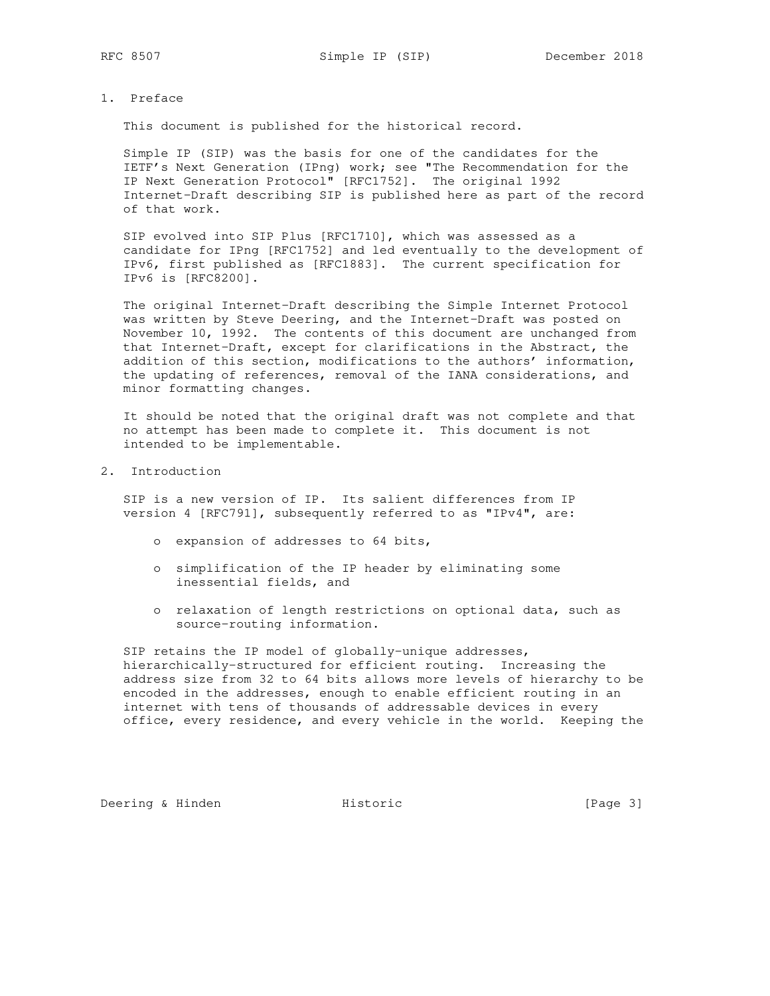## 1. Preface

This document is published for the historical record.

 Simple IP (SIP) was the basis for one of the candidates for the IETF's Next Generation (IPng) work; see "The Recommendation for the IP Next Generation Protocol" [RFC1752]. The original 1992 Internet-Draft describing SIP is published here as part of the record of that work.

 SIP evolved into SIP Plus [RFC1710], which was assessed as a candidate for IPng [RFC1752] and led eventually to the development of IPv6, first published as [RFC1883]. The current specification for IPv6 is [RFC8200].

 The original Internet-Draft describing the Simple Internet Protocol was written by Steve Deering, and the Internet-Draft was posted on November 10, 1992. The contents of this document are unchanged from that Internet-Draft, except for clarifications in the Abstract, the addition of this section, modifications to the authors' information, the updating of references, removal of the IANA considerations, and minor formatting changes.

 It should be noted that the original draft was not complete and that no attempt has been made to complete it. This document is not intended to be implementable.

## 2. Introduction

 SIP is a new version of IP. Its salient differences from IP version 4 [RFC791], subsequently referred to as "IPv4", are:

- o expansion of addresses to 64 bits,
- o simplification of the IP header by eliminating some inessential fields, and
- o relaxation of length restrictions on optional data, such as source-routing information.

 SIP retains the IP model of globally-unique addresses, hierarchically-structured for efficient routing. Increasing the address size from 32 to 64 bits allows more levels of hierarchy to be encoded in the addresses, enough to enable efficient routing in an internet with tens of thousands of addressable devices in every office, every residence, and every vehicle in the world. Keeping the

Deering & Hinden **Historic** Historic [Page 3]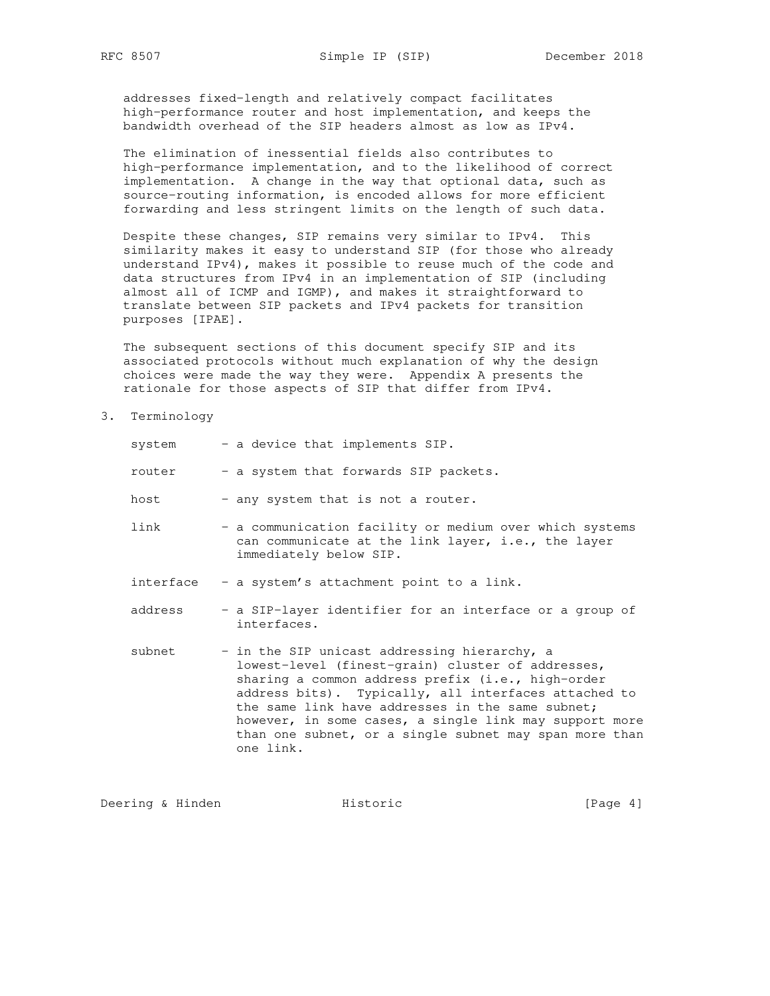addresses fixed-length and relatively compact facilitates high-performance router and host implementation, and keeps the bandwidth overhead of the SIP headers almost as low as IPv4.

 The elimination of inessential fields also contributes to high-performance implementation, and to the likelihood of correct implementation. A change in the way that optional data, such as source-routing information, is encoded allows for more efficient forwarding and less stringent limits on the length of such data.

 Despite these changes, SIP remains very similar to IPv4. This similarity makes it easy to understand SIP (for those who already understand IPv4), makes it possible to reuse much of the code and data structures from IPv4 in an implementation of SIP (including almost all of ICMP and IGMP), and makes it straightforward to translate between SIP packets and IPv4 packets for transition purposes [IPAE].

 The subsequent sections of this document specify SIP and its associated protocols without much explanation of why the design choices were made the way they were. Appendix A presents the rationale for those aspects of SIP that differ from IPv4.

3. Terminology

| system    | - a device that implements SIP.                                                                                                                                                                                                                                                                                                                                                                     |
|-----------|-----------------------------------------------------------------------------------------------------------------------------------------------------------------------------------------------------------------------------------------------------------------------------------------------------------------------------------------------------------------------------------------------------|
| router    | - a system that forwards SIP packets.                                                                                                                                                                                                                                                                                                                                                               |
| host      | - any system that is not a router.                                                                                                                                                                                                                                                                                                                                                                  |
| link      | - a communication facility or medium over which systems<br>can communicate at the link layer, i.e., the layer<br>immediately below SIP.                                                                                                                                                                                                                                                             |
| interface | - a system's attachment point to a link.                                                                                                                                                                                                                                                                                                                                                            |
| address   | - a SIP-layer identifier for an interface or a group of<br>interfaces.                                                                                                                                                                                                                                                                                                                              |
| subnet    | - in the SIP unicast addressing hierarchy, a<br>lowest-level (finest-grain) cluster of addresses,<br>sharing a common address prefix (i.e., high-order<br>address bits). Typically, all interfaces attached to<br>the same link have addresses in the same subnet;<br>however, in some cases, a single link may support more<br>than one subnet, or a single subnet may span more than<br>one link. |

Deering & Hinden **Historic** Historic [Page 4]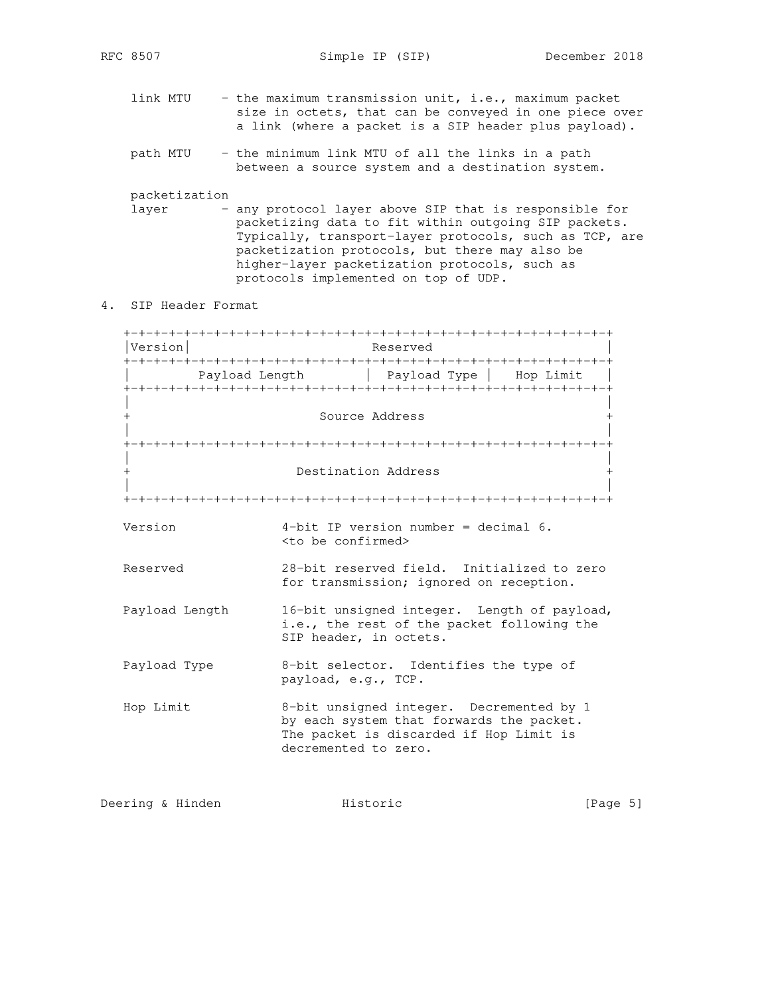- link MTU the maximum transmission unit, i.e., maximum packet size in octets, that can be conveyed in one piece over a link (where a packet is a SIP header plus payload).
- path MTU the minimum link MTU of all the links in a path between a source system and a destination system.

packetization

- layer any protocol layer above SIP that is responsible for packetizing data to fit within outgoing SIP packets. Typically, transport-layer protocols, such as TCP, are packetization protocols, but there may also be higher-layer packetization protocols, such as protocols implemented on top of UDP.
- 4. SIP Header Format

 +-+-+-+-+-+-+-+-+-+-+-+-+-+-+-+-+-+-+-+-+-+-+-+-+-+-+-+-+-+-+-+-+ |Version| Reserved +-+-+-+-+-+-+-+-+-+-+-+-+-+-+-+-+-+-+-+-+-+-+-+-+-+-+-+-+-+-+-+-+ | Payload Length | Payload Type | Hop Limit | +-+-+-+-+-+-+-+-+-+-+-+-+-+-+-+-+-+-+-+-+-+-+-+-+-+-+-+-+-+-+-+-+ | | Source Address | | +-+-+-+-+-+-+-+-+-+-+-+-+-+-+-+-+-+-+-+-+-+-+-+-+-+-+-+-+-+-+-+-+ | | + Destination Address + | | +-+-+-+-+-+-+-+-+-+-+-+-+-+-+-+-+-+-+-+-+-+-+-+-+-+-+-+-+-+-+-+-+ Version 4-bit IP version number = decimal 6. <to be confirmed> Reserved 28-bit reserved field. Initialized to zero for transmission; ignored on reception. Payload Length 16-bit unsigned integer. Length of payload, i.e., the rest of the packet following the SIP header, in octets. Payload Type 8-bit selector. Identifies the type of payload, e.g., TCP. Hop Limit 8-bit unsigned integer. Decremented by 1 by each system that forwards the packet. The packet is discarded if Hop Limit is decremented to zero.

Deering & Hinden **Historic** Filter Historic (Page 5)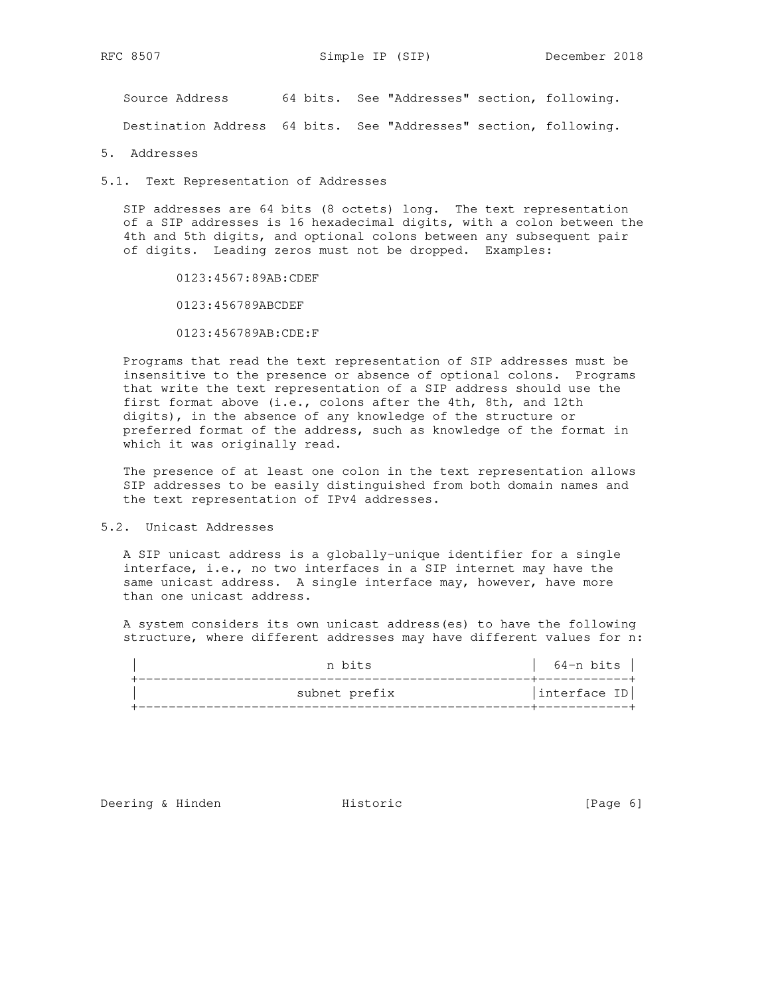Source Address 64 bits. See "Addresses" section, following.

Destination Address 64 bits. See "Addresses" section, following.

5. Addresses

5.1. Text Representation of Addresses

 SIP addresses are 64 bits (8 octets) long. The text representation of a SIP addresses is 16 hexadecimal digits, with a colon between the 4th and 5th digits, and optional colons between any subsequent pair of digits. Leading zeros must not be dropped. Examples:

0123:4567:89AB:CDEF

0123:456789ABCDEF

0123:456789AB:CDE:F

 Programs that read the text representation of SIP addresses must be insensitive to the presence or absence of optional colons. Programs that write the text representation of a SIP address should use the first format above (i.e., colons after the 4th, 8th, and 12th digits), in the absence of any knowledge of the structure or preferred format of the address, such as knowledge of the format in which it was originally read.

 The presence of at least one colon in the text representation allows SIP addresses to be easily distinguished from both domain names and the text representation of IPv4 addresses.

5.2. Unicast Addresses

 A SIP unicast address is a globally-unique identifier for a single interface, i.e., no two interfaces in a SIP internet may have the same unicast address. A single interface may, however, have more than one unicast address.

 A system considers its own unicast address(es) to have the following structure, where different addresses may have different values for n:

| n bits        | 64-n bits    |
|---------------|--------------|
| subnet prefix | interface ID |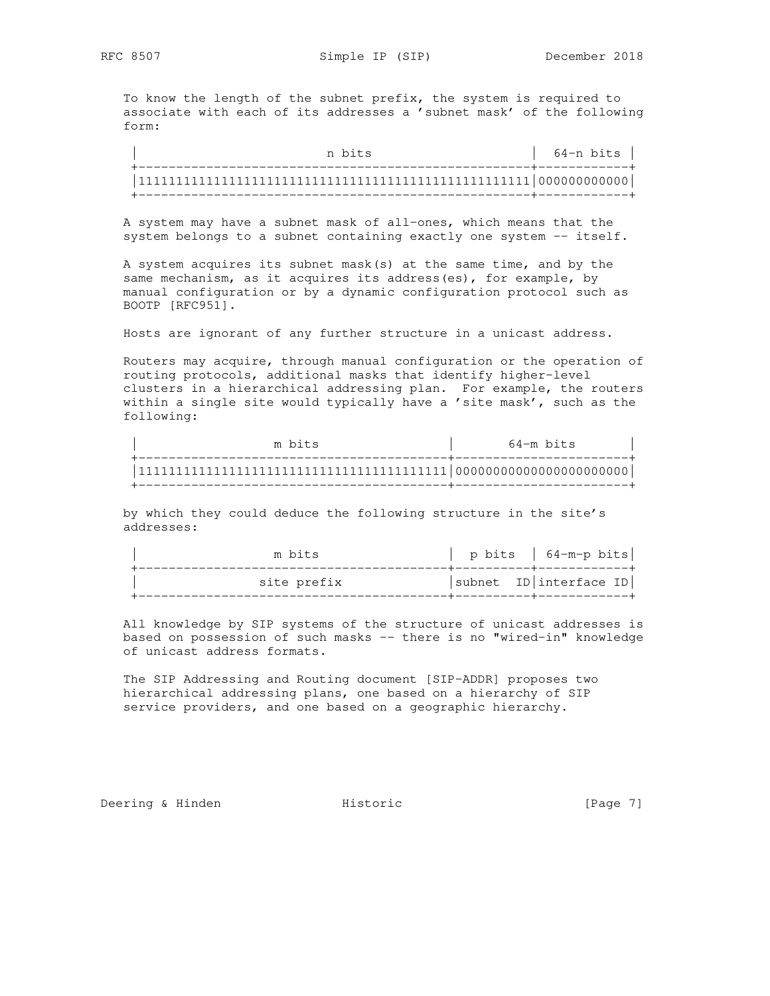To know the length of the subnet prefix, the system is required to associate with each of its addresses a 'subnet mask' of the following form:

n bits  $|$  64-n bits  $|$  +----------------------------------------------------+------------+ |1111111111111111111111111111111111111111111111111111|000000000000| +----------------------------------------------------+------------+

 A system may have a subnet mask of all-ones, which means that the system belongs to a subnet containing exactly one system -- itself.

 A system acquires its subnet mask(s) at the same time, and by the same mechanism, as it acquires its address(es), for example, by manual configuration or by a dynamic configuration protocol such as BOOTP [RFC951].

Hosts are ignorant of any further structure in a unicast address.

 Routers may acquire, through manual configuration or the operation of routing protocols, additional masks that identify higher-level clusters in a hierarchical addressing plan. For example, the routers within a single site would typically have a 'site mask', such as the following:

| m bits | 64-m bits |
|--------|-----------|
|        |           |

 by which they could deduce the following structure in the site's addresses:

| m bits      | p bits   $64-m-p$ bits    |
|-------------|---------------------------|
| site prefix | $ subnet$ ID interface ID |

 All knowledge by SIP systems of the structure of unicast addresses is based on possession of such masks -- there is no "wired-in" knowledge of unicast address formats.

 The SIP Addressing and Routing document [SIP-ADDR] proposes two hierarchical addressing plans, one based on a hierarchy of SIP service providers, and one based on a geographic hierarchy.

Deering & Hinden **Historic** Filips Historic Elementary (Page 7)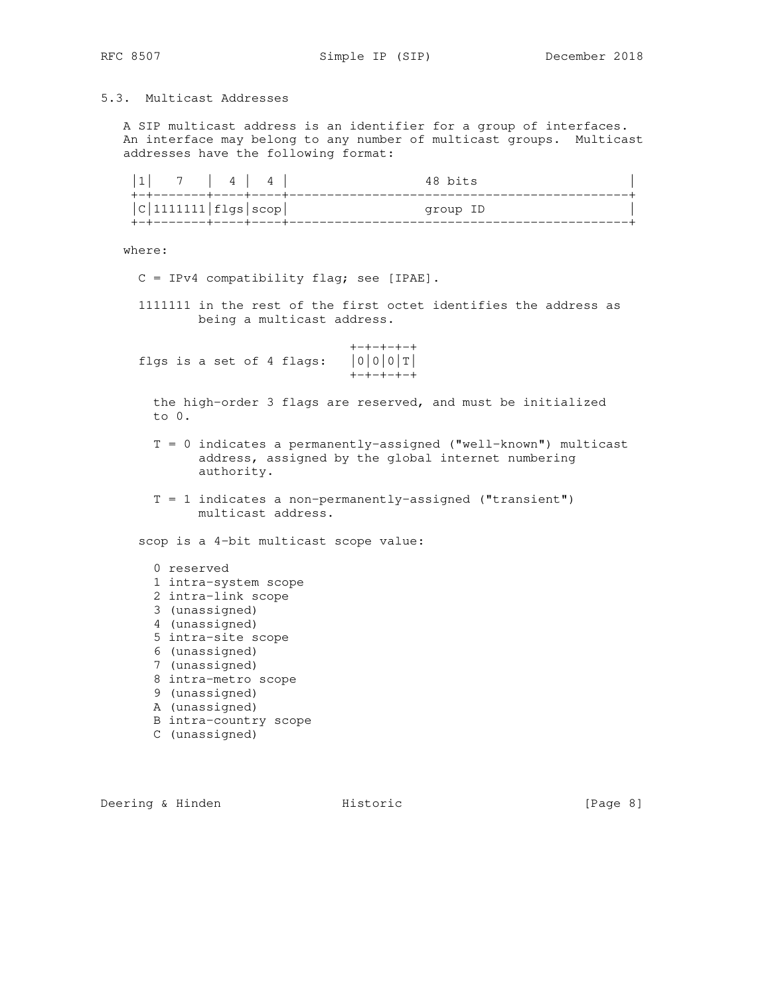# 5.3. Multicast Addresses

 A SIP multicast address is an identifier for a group of interfaces. An interface may belong to any number of multicast groups. Multicast addresses have the following format:

| 7   4   4  <br>+-+-------+----+-----   | 48 bits  |
|----------------------------------------|----------|
| C 1111111 flgs scop <br>-+-------+---- | group ID |

where:

- C = IPv4 compatibility flag; see [IPAE].
- 1111111 in the rest of the first octet identifies the address as being a multicast address.

 $+ - + - + - + - +$ <br> $|0|0|0|T|$ flgs is a set of 4 flags: +-+-+-+-+

 the high-order 3 flags are reserved, and must be initialized to 0.

- T = 0 indicates a permanently-assigned ("well-known") multicast address, assigned by the global internet numbering authority.
- $T = 1$  indicates a non-permanently-assigned ("transient") multicast address.

scop is a 4-bit multicast scope value:

- 0 reserved
- 1 intra-system scope
- 2 intra-link scope
- 3 (unassigned)
- 4 (unassigned)
- 5 intra-site scope
- 6 (unassigned)
- 7 (unassigned)
- 8 intra-metro scope
- 9 (unassigned)
- A (unassigned)
- B intra-country scope
- C (unassigned)

Deering & Hinden **Historic** Historic [Page 8]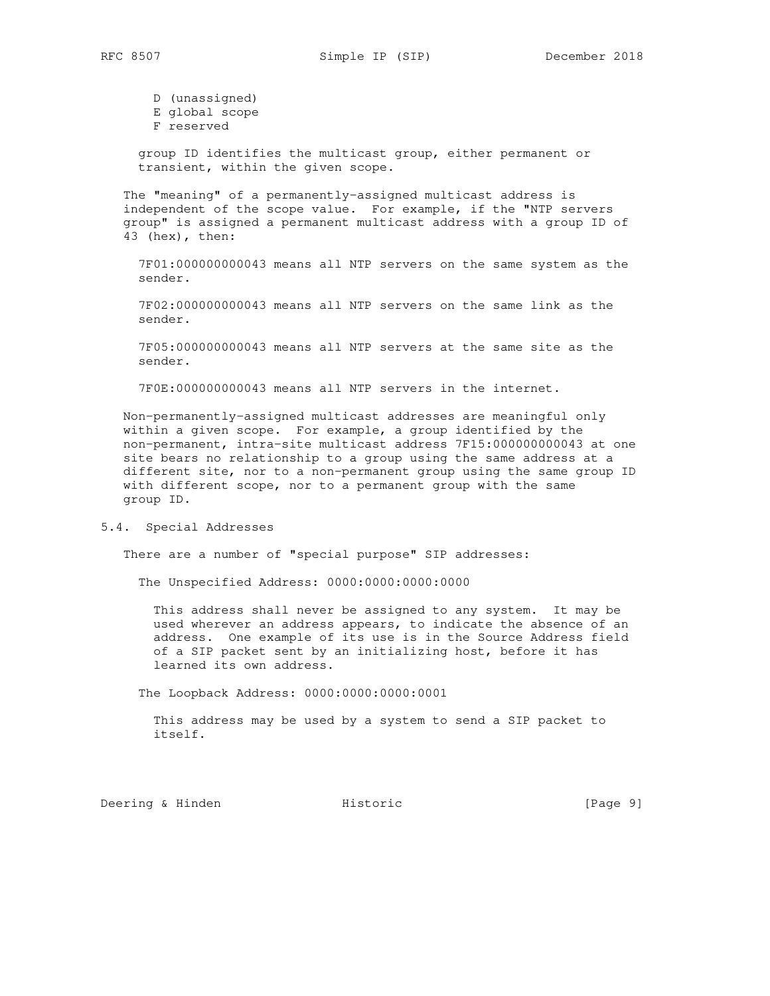D (unassigned) E global scope F reserved

 group ID identifies the multicast group, either permanent or transient, within the given scope.

 The "meaning" of a permanently-assigned multicast address is independent of the scope value. For example, if the "NTP servers group" is assigned a permanent multicast address with a group ID of 43 (hex), then:

 7F01:000000000043 means all NTP servers on the same system as the sender.

 7F02:000000000043 means all NTP servers on the same link as the sender.

 7F05:000000000043 means all NTP servers at the same site as the sender.

7F0E:000000000043 means all NTP servers in the internet.

 Non-permanently-assigned multicast addresses are meaningful only within a given scope. For example, a group identified by the non-permanent, intra-site multicast address 7F15:000000000043 at one site bears no relationship to a group using the same address at a different site, nor to a non-permanent group using the same group ID with different scope, nor to a permanent group with the same group ID.

5.4. Special Addresses

There are a number of "special purpose" SIP addresses:

The Unspecified Address: 0000:0000:0000:0000

 This address shall never be assigned to any system. It may be used wherever an address appears, to indicate the absence of an address. One example of its use is in the Source Address field of a SIP packet sent by an initializing host, before it has learned its own address.

The Loopback Address: 0000:0000:0000:0001

 This address may be used by a system to send a SIP packet to itself.

Deering & Hinden **Historic** Historic [Page 9]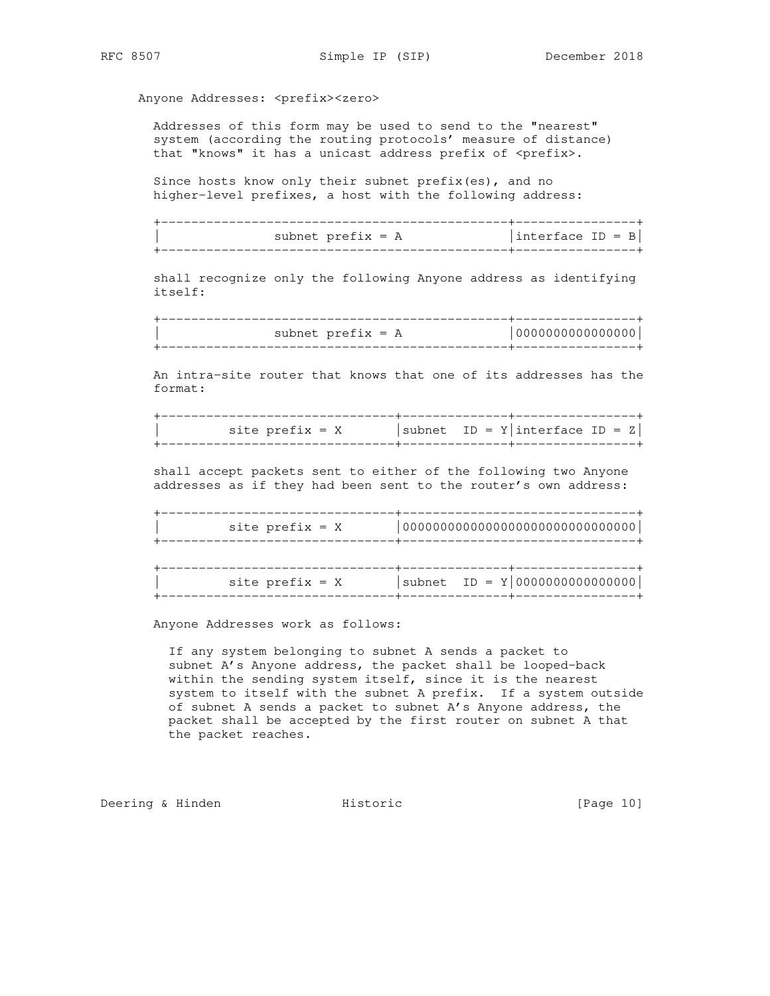Anyone Addresses: <prefix><zero>

 Addresses of this form may be used to send to the "nearest" system (according the routing protocols' measure of distance) that "knows" it has a unicast address prefix of <prefix>.

 Since hosts know only their subnet prefix(es), and no higher-level prefixes, a host with the following address:

 +----------------------------------------------+----------------+ subnet prefix = A  $|$ interface ID = B +----------------------------------------------+----------------+

 shall recognize only the following Anyone address as identifying itself:

| subnet $prefix = A$ |  |
|---------------------|--|
|                     |  |

 An intra-site router that knows that one of its addresses has the format:

| site prefix = X |  | $ subnet$ ID = $Y interface$ ID = $Z $ |  |
|-----------------|--|----------------------------------------|--|
|                 |  |                                        |  |

 shall accept packets sent to either of the following two Anyone addresses as if they had been sent to the router's own address:

+-------------------------------+-------------------------------+

 | site prefix = X |0000000000000000000000000000000| +-------------------------------+-------------------------------+ +-------------------------------+--------------+----------------+

 $\text{site prefix} = X$  | subnet ID = Y|000000000000000000 +-------------------------------+--------------+----------------+

Anyone Addresses work as follows:

 If any system belonging to subnet A sends a packet to subnet A's Anyone address, the packet shall be looped-back within the sending system itself, since it is the nearest system to itself with the subnet A prefix. If a system outside of subnet A sends a packet to subnet A's Anyone address, the packet shall be accepted by the first router on subnet A that the packet reaches.

Deering & Hinden **Historic Historic** [Page 10]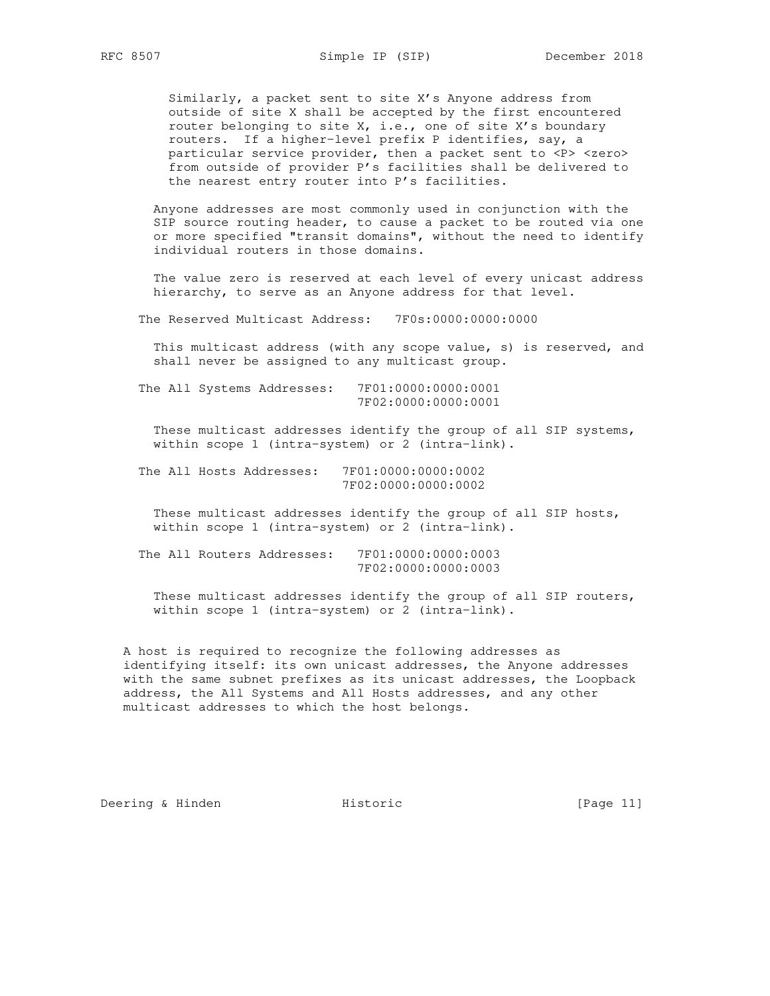Similarly, a packet sent to site X's Anyone address from outside of site X shall be accepted by the first encountered router belonging to site X, i.e., one of site X's boundary routers. If a higher-level prefix P identifies, say, a particular service provider, then a packet sent to <P> <zero> from outside of provider P's facilities shall be delivered to the nearest entry router into P's facilities.

 Anyone addresses are most commonly used in conjunction with the SIP source routing header, to cause a packet to be routed via one or more specified "transit domains", without the need to identify individual routers in those domains.

 The value zero is reserved at each level of every unicast address hierarchy, to serve as an Anyone address for that level.

The Reserved Multicast Address: 7F0s:0000:0000:0000

 This multicast address (with any scope value, s) is reserved, and shall never be assigned to any multicast group.

 The All Systems Addresses: 7F01:0000:0000:0001 7F02:0000:0000:0001

 These multicast addresses identify the group of all SIP systems, within scope 1 (intra-system) or 2 (intra-link).

 The All Hosts Addresses: 7F01:0000:0000:0002 7F02:0000:0000:0002

 These multicast addresses identify the group of all SIP hosts, within scope 1 (intra-system) or 2 (intra-link).

 The All Routers Addresses: 7F01:0000:0000:0003 7F02:0000:0000:0003

 These multicast addresses identify the group of all SIP routers, within scope 1 (intra-system) or 2 (intra-link).

 A host is required to recognize the following addresses as identifying itself: its own unicast addresses, the Anyone addresses with the same subnet prefixes as its unicast addresses, the Loopback address, the All Systems and All Hosts addresses, and any other multicast addresses to which the host belongs.

Deering & Hinden **Historic** Historic [Page 11]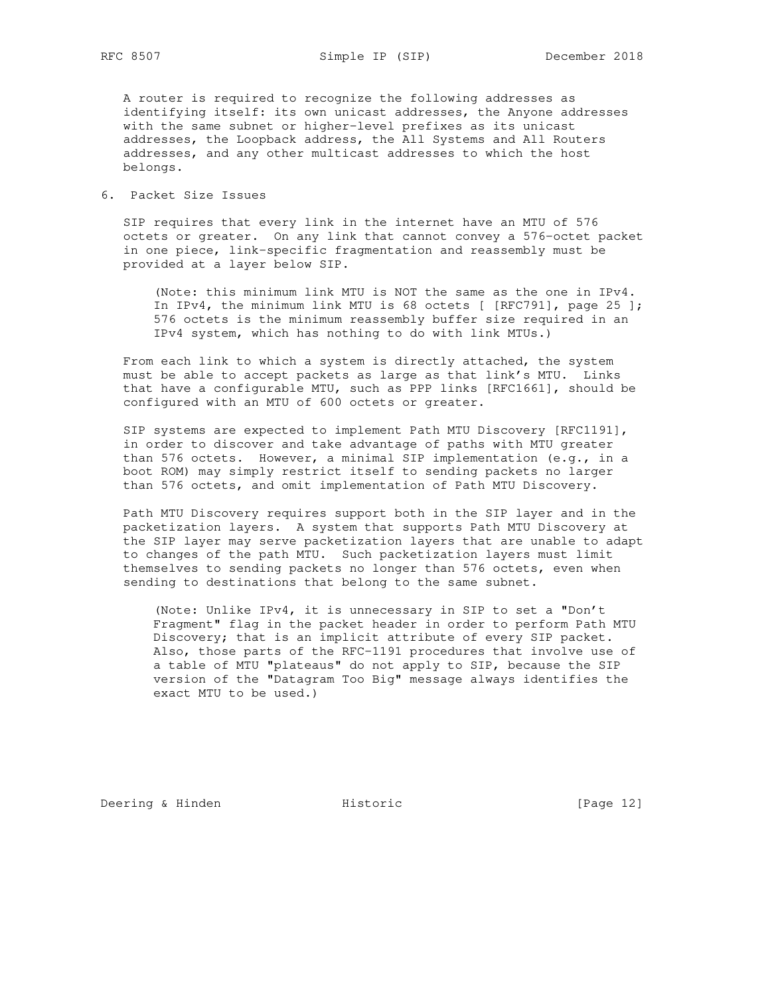A router is required to recognize the following addresses as identifying itself: its own unicast addresses, the Anyone addresses with the same subnet or higher-level prefixes as its unicast addresses, the Loopback address, the All Systems and All Routers addresses, and any other multicast addresses to which the host belongs.

6. Packet Size Issues

 SIP requires that every link in the internet have an MTU of 576 octets or greater. On any link that cannot convey a 576-octet packet in one piece, link-specific fragmentation and reassembly must be provided at a layer below SIP.

 (Note: this minimum link MTU is NOT the same as the one in IPv4. In IPv4, the minimum link MTU is 68 octets [ [RFC791], page 25 ]; 576 octets is the minimum reassembly buffer size required in an IPv4 system, which has nothing to do with link MTUs.)

 From each link to which a system is directly attached, the system must be able to accept packets as large as that link's MTU. Links that have a configurable MTU, such as PPP links [RFC1661], should be configured with an MTU of 600 octets or greater.

 SIP systems are expected to implement Path MTU Discovery [RFC1191], in order to discover and take advantage of paths with MTU greater than 576 octets. However, a minimal SIP implementation (e.g., in a boot ROM) may simply restrict itself to sending packets no larger than 576 octets, and omit implementation of Path MTU Discovery.

 Path MTU Discovery requires support both in the SIP layer and in the packetization layers. A system that supports Path MTU Discovery at the SIP layer may serve packetization layers that are unable to adapt to changes of the path MTU. Such packetization layers must limit themselves to sending packets no longer than 576 octets, even when sending to destinations that belong to the same subnet.

 (Note: Unlike IPv4, it is unnecessary in SIP to set a "Don't Fragment" flag in the packet header in order to perform Path MTU Discovery; that is an implicit attribute of every SIP packet. Also, those parts of the RFC-1191 procedures that involve use of a table of MTU "plateaus" do not apply to SIP, because the SIP version of the "Datagram Too Big" message always identifies the exact MTU to be used.)

Deering & Hinden **Historic** Historic [Page 12]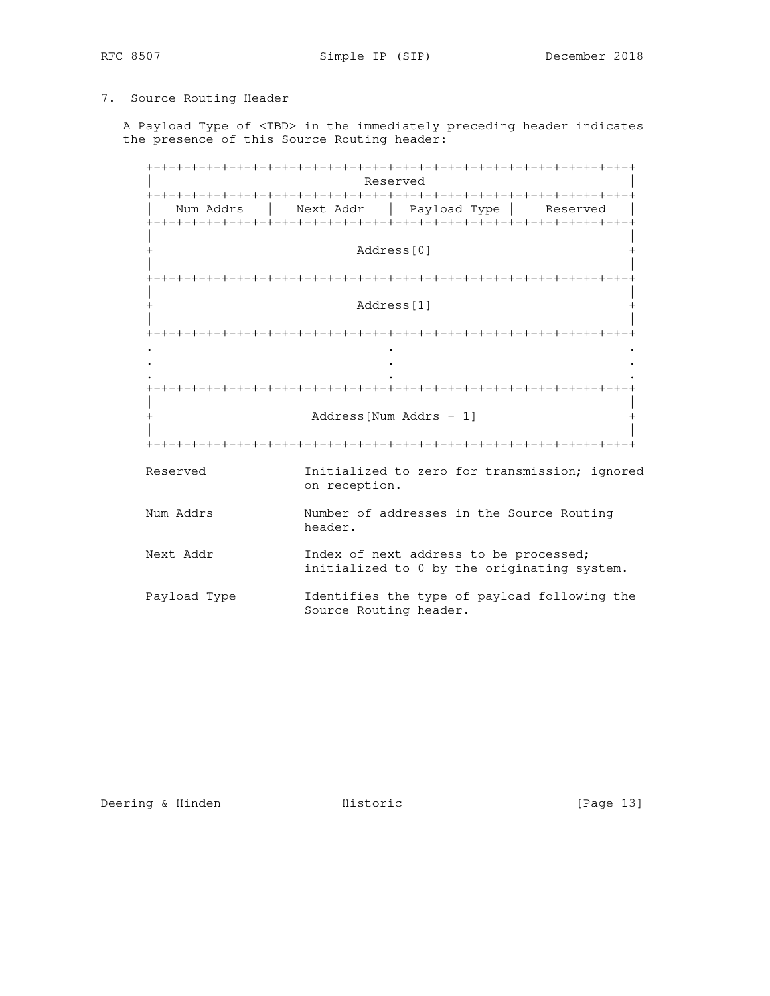## 7. Source Routing Header

 A Payload Type of <TBD> in the immediately preceding header indicates the presence of this Source Routing header:

 +-+-+-+-+-+-+-+-+-+-+-+-+-+-+-+-+-+-+-+-+-+-+-+-+-+-+-+-+-+-+-+-+ Reserved +-+-+-+-+-+-+-+-+-+-+-+-+-+-+-+-+-+-+-+-+-+-+-+-+-+-+-+-+-+-+-+-+ Num Addrs | Next Addr | Payload Type | Reserved +-+-+-+-+-+-+-+-+-+-+-+-+-+-+-+-+-+-+-+-+-+-+-+-+-+-+-+-+-+-+-+-+ | | Address[0] | | +-+-+-+-+-+-+-+-+-+-+-+-+-+-+-+-+-+-+-+-+-+-+-+-+-+-+-+-+-+-+-+-+ | | + Address[1] + | | +-+-+-+-+-+-+-+-+-+-+-+-+-+-+-+-+-+-+-+-+-+-+-+-+-+-+-+-+-+-+-+-+ . . . . . . . . . +-+-+-+-+-+-+-+-+-+-+-+-+-+-+-+-+-+-+-+-+-+-+-+-+-+-+-+-+-+-+-+-+ | | + Address[Num Addrs - 1] + | | +-+-+-+-+-+-+-+-+-+-+-+-+-+-+-+-+-+-+-+-+-+-+-+-+-+-+-+-+-+-+-+-+ Reserved Initialized to zero for transmission; ignored on reception. Num Addrs **Number** of addresses in the Source Routing header. Next Addr **Index of next address to be processed;**  initialized to 0 by the originating system. Payload Type Identifies the type of payload following the Source Routing header.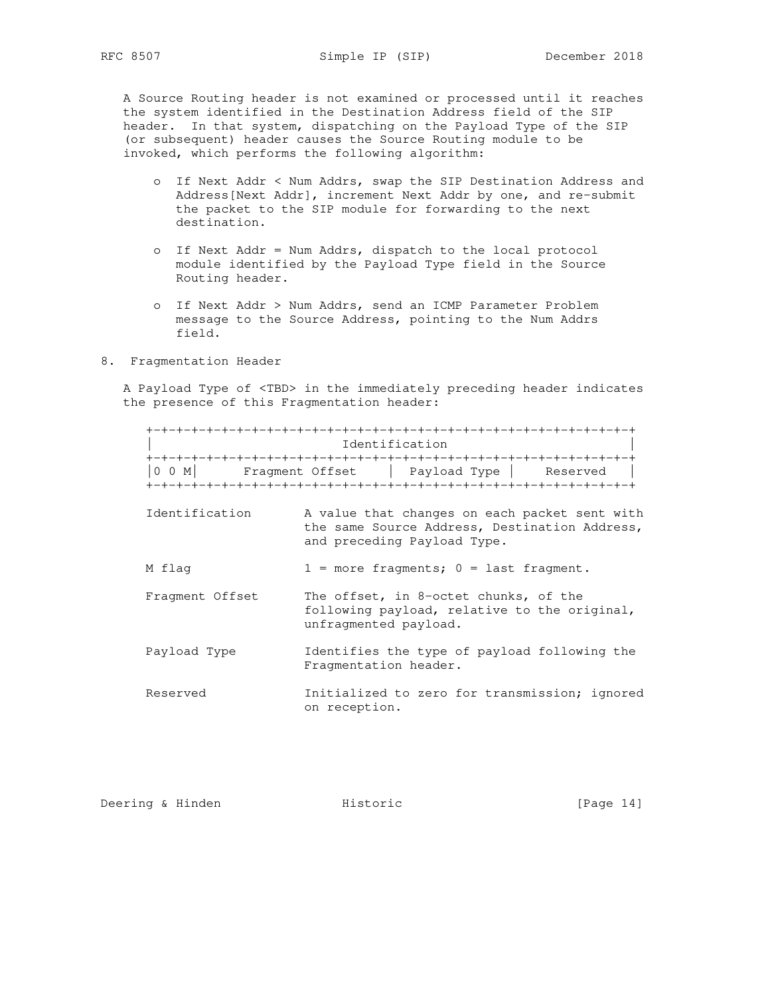A Source Routing header is not examined or processed until it reaches the system identified in the Destination Address field of the SIP header. In that system, dispatching on the Payload Type of the SIP (or subsequent) header causes the Source Routing module to be invoked, which performs the following algorithm:

- o If Next Addr < Num Addrs, swap the SIP Destination Address and Address[Next Addr], increment Next Addr by one, and re-submit the packet to the SIP module for forwarding to the next destination.
- o If Next Addr = Num Addrs, dispatch to the local protocol module identified by the Payload Type field in the Source Routing header.
- o If Next Addr > Num Addrs, send an ICMP Parameter Problem message to the Source Address, pointing to the Num Addrs field.
- 8. Fragmentation Header

 A Payload Type of <TBD> in the immediately preceding header indicates the presence of this Fragmentation header:

|                 | Identification                                                                                                                |
|-----------------|-------------------------------------------------------------------------------------------------------------------------------|
| $0$ 0 M         | Fragment Offset   Payload Type  <br>Reserved                                                                                  |
| Identification  | A value that changes on each packet sent with<br>the same Source Address, Destination Address,<br>and preceding Payload Type. |
| M flag          | $1$ = more fragments; $0$ = last fragment.                                                                                    |
| Fragment Offset | The offset, in 8-octet chunks, of the<br>following payload, relative to the original,<br>unfragmented payload.                |
| Payload Type    | Identifies the type of payload following the<br>Fragmentation header.                                                         |
| Reserved        | Initialized to zero for transmission; ignored<br>on reception.                                                                |

Deering & Hinden **Historic** Historic [Page 14]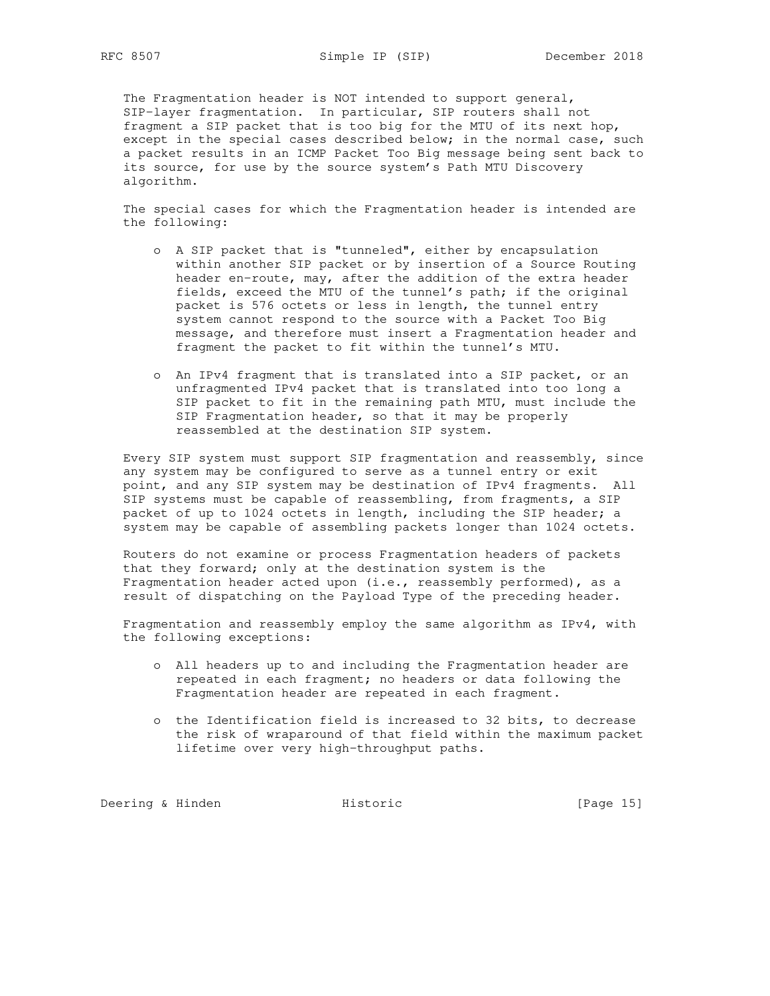The Fragmentation header is NOT intended to support general, SIP-layer fragmentation. In particular, SIP routers shall not fragment a SIP packet that is too big for the MTU of its next hop, except in the special cases described below; in the normal case, such a packet results in an ICMP Packet Too Big message being sent back to its source, for use by the source system's Path MTU Discovery algorithm.

 The special cases for which the Fragmentation header is intended are the following:

- o A SIP packet that is "tunneled", either by encapsulation within another SIP packet or by insertion of a Source Routing header en-route, may, after the addition of the extra header fields, exceed the MTU of the tunnel's path; if the original packet is 576 octets or less in length, the tunnel entry system cannot respond to the source with a Packet Too Big message, and therefore must insert a Fragmentation header and fragment the packet to fit within the tunnel's MTU.
- o An IPv4 fragment that is translated into a SIP packet, or an unfragmented IPv4 packet that is translated into too long a SIP packet to fit in the remaining path MTU, must include the SIP Fragmentation header, so that it may be properly reassembled at the destination SIP system.

 Every SIP system must support SIP fragmentation and reassembly, since any system may be configured to serve as a tunnel entry or exit point, and any SIP system may be destination of IPv4 fragments. All SIP systems must be capable of reassembling, from fragments, a SIP packet of up to 1024 octets in length, including the SIP header; a system may be capable of assembling packets longer than 1024 octets.

 Routers do not examine or process Fragmentation headers of packets that they forward; only at the destination system is the Fragmentation header acted upon (i.e., reassembly performed), as a result of dispatching on the Payload Type of the preceding header.

 Fragmentation and reassembly employ the same algorithm as IPv4, with the following exceptions:

- o All headers up to and including the Fragmentation header are repeated in each fragment; no headers or data following the Fragmentation header are repeated in each fragment.
- o the Identification field is increased to 32 bits, to decrease the risk of wraparound of that field within the maximum packet lifetime over very high-throughput paths.

Deering & Hinden **Historic** Filth Historic [Page 15]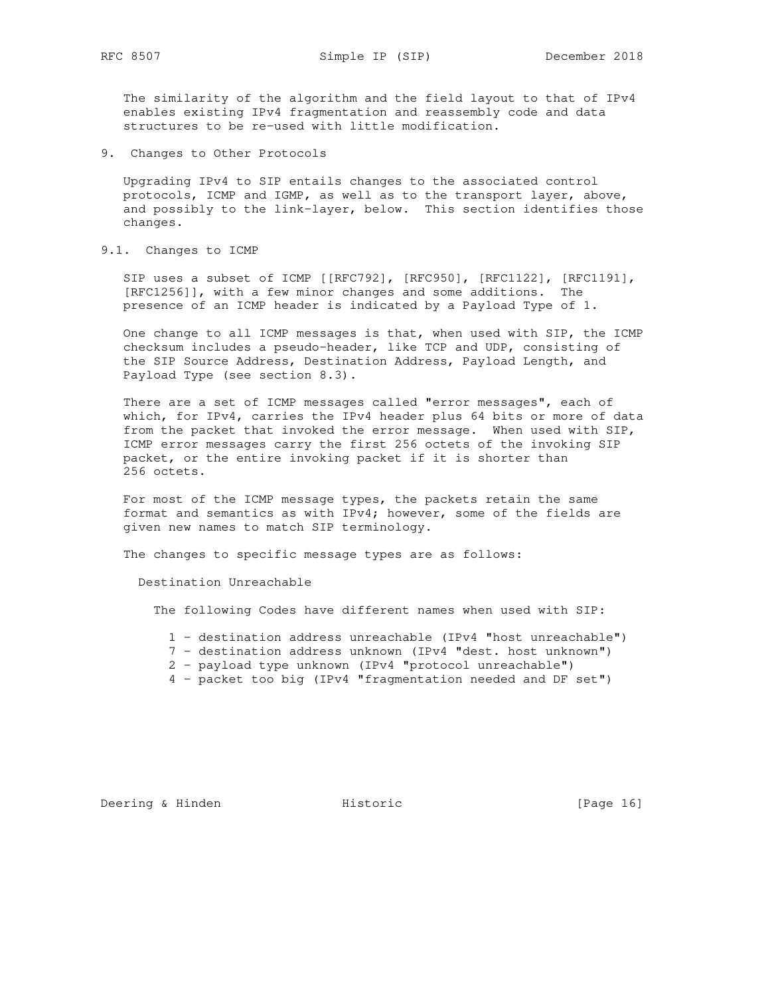The similarity of the algorithm and the field layout to that of IPv4 enables existing IPv4 fragmentation and reassembly code and data structures to be re-used with little modification.

9. Changes to Other Protocols

 Upgrading IPv4 to SIP entails changes to the associated control protocols, ICMP and IGMP, as well as to the transport layer, above, and possibly to the link-layer, below. This section identifies those changes.

9.1. Changes to ICMP

SIP uses a subset of ICMP [[RFC792], [RFC950], [RFC1122], [RFC1191], [RFC1256]], with a few minor changes and some additions. The presence of an ICMP header is indicated by a Payload Type of 1.

 One change to all ICMP messages is that, when used with SIP, the ICMP checksum includes a pseudo-header, like TCP and UDP, consisting of the SIP Source Address, Destination Address, Payload Length, and Payload Type (see section 8.3).

 There are a set of ICMP messages called "error messages", each of which, for IPv4, carries the IPv4 header plus 64 bits or more of data from the packet that invoked the error message. When used with SIP, ICMP error messages carry the first 256 octets of the invoking SIP packet, or the entire invoking packet if it is shorter than 256 octets.

 For most of the ICMP message types, the packets retain the same format and semantics as with IPv4; however, some of the fields are given new names to match SIP terminology.

The changes to specific message types are as follows:

Destination Unreachable

The following Codes have different names when used with SIP:

- 1 destination address unreachable (IPv4 "host unreachable")
- 7 destination address unknown (IPv4 "dest. host unknown")
- 2 payload type unknown (IPv4 "protocol unreachable")
- 4 packet too big (IPv4 "fragmentation needed and DF set")

Deering & Hinden **Historic** Historic [Page 16]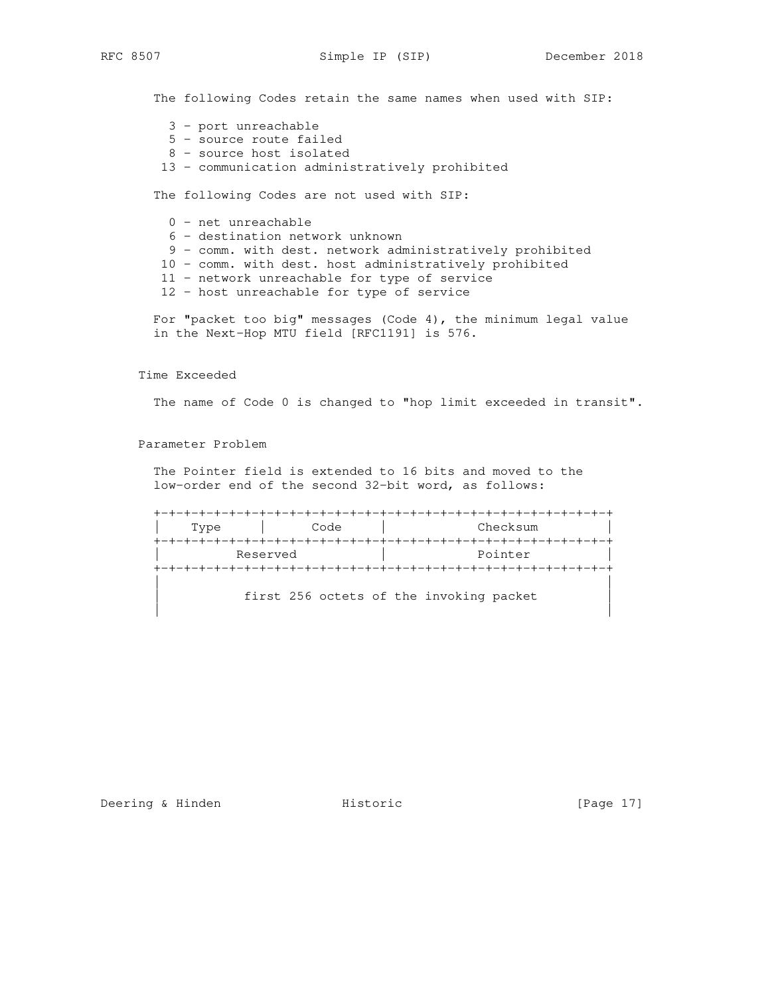The following Codes retain the same names when used with SIP:

- 3 port unreachable
- 5 source route failed
- 8 source host isolated
- 13 communication administratively prohibited

The following Codes are not used with SIP:

0 - net unreachable

- 6 destination network unknown
- 9 comm. with dest. network administratively prohibited
- 10 comm. with dest. host administratively prohibited
- 11 network unreachable for type of service
- 12 host unreachable for type of service

 For "packet too big" messages (Code 4), the minimum legal value in the Next-Hop MTU field [RFC1191] is 576.

Time Exceeded

The name of Code 0 is changed to "hop limit exceeded in transit".

Parameter Problem

 The Pointer field is extended to 16 bits and moved to the low-order end of the second 32-bit word, as follows:

+-+-+-+-+-+-+-+-+-+-+-+-+-+-+-+-+-+-+-+-+-+-+-+-+-+-+-+-+-+-+

Type | Code | Checksum +-+-+-+-+-+-+-+-+-+-+-+-+-+-+-+-+-+-+-+-+-+-+-+-+-+-+-+-+-+-+ Reserved and a pointer expected by Rointer +-+-+-+-+-+-+-+-+-+-+-+-+-+-+-+-+-+-+-+-+-+-+-+-+-+-+-+-+-+-+ | |

first 256 octets of the invoking packet

| |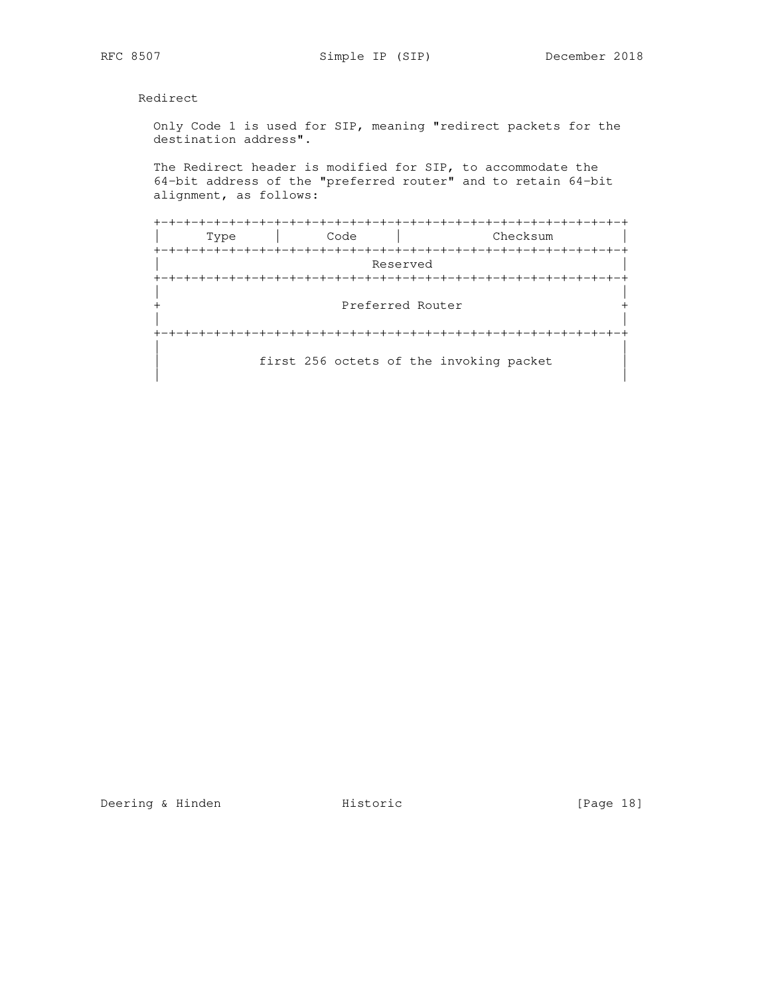Redirect

 Only Code 1 is used for SIP, meaning "redirect packets for the destination address".

 The Redirect header is modified for SIP, to accommodate the 64-bit address of the "preferred router" and to retain 64-bit alignment, as follows:

 +-+-+-+-+-+-+-+-+-+-+-+-+-+-+-+-+-+-+-+-+-+-+-+-+-+-+-+-+-+-+-+ | Type | Code | Checksum | +-+-+-+-+-+-+-+-+-+-+-+-+-+-+-+-+-+-+-+-+-+-+-+-+-+-+-+-+-+-+-+ Reserved +-+-+-+-+-+-+-+-+-+-+-+-+-+-+-+-+-+-+-+-+-+-+-+-+-+-+-+-+-+-+-+ | | Preferred Router + | | +-+-+-+-+-+-+-+-+-+-+-+-+-+-+-+-+-+-+-+-+-+-+-+-+-+-+-+-+-+-+-+ | | first 256 octets of the invoking packet | |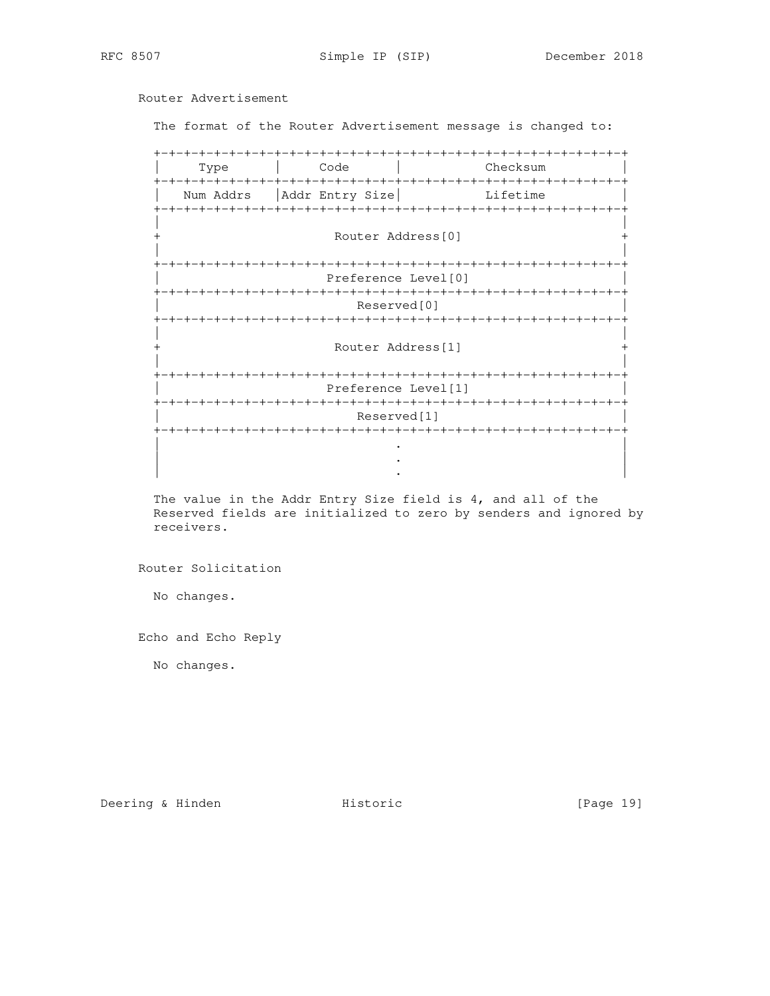# Router Advertisement

The format of the Router Advertisement message is changed to:

 +-+-+-+-+-+-+-+-+-+-+-+-+-+-+-+-+-+-+-+-+-+-+-+-+-+-+-+-+-+-+-+ | Type | Code | Checksum | +-+-+-+-+-+-+-+-+-+-+-+-+-+-+-+-+-+-+-+-+-+-+-+-+-+-+-+-+-+-+-+ Num Addrs | Addr Entry Size | Lifetime +-+-+-+-+-+-+-+-+-+-+-+-+-+-+-+-+-+-+-+-+-+-+-+-+-+-+-+-+-+-+-+ | | Router Address[0] | | +-+-+-+-+-+-+-+-+-+-+-+-+-+-+-+-+-+-+-+-+-+-+-+-+-+-+-+-+-+-+-+ Preference Level[0] +-+-+-+-+-+-+-+-+-+-+-+-+-+-+-+-+-+-+-+-+-+-+-+-+-+-+-+-+-+-+-+ Reserved[0] +-+-+-+-+-+-+-+-+-+-+-+-+-+-+-+-+-+-+-+-+-+-+-+-+-+-+-+-+-+-+-+ | | + Router Address[1] + | | +-+-+-+-+-+-+-+-+-+-+-+-+-+-+-+-+-+-+-+-+-+-+-+-+-+-+-+-+-+-+-+ | Preference Level[1] | +-+-+-+-+-+-+-+-+-+-+-+-+-+-+-+-+-+-+-+-+-+-+-+-+-+-+-+-+-+-+-+ Reserved[1] +-+-+-+-+-+-+-+-+-+-+-+-+-+-+-+-+-+-+-+-+-+-+-+-+-+-+-+-+-+-+-+ | . | | . | | . |

 The value in the Addr Entry Size field is 4, and all of the Reserved fields are initialized to zero by senders and ignored by receivers.

Router Solicitation

No changes.

Echo and Echo Reply

No changes.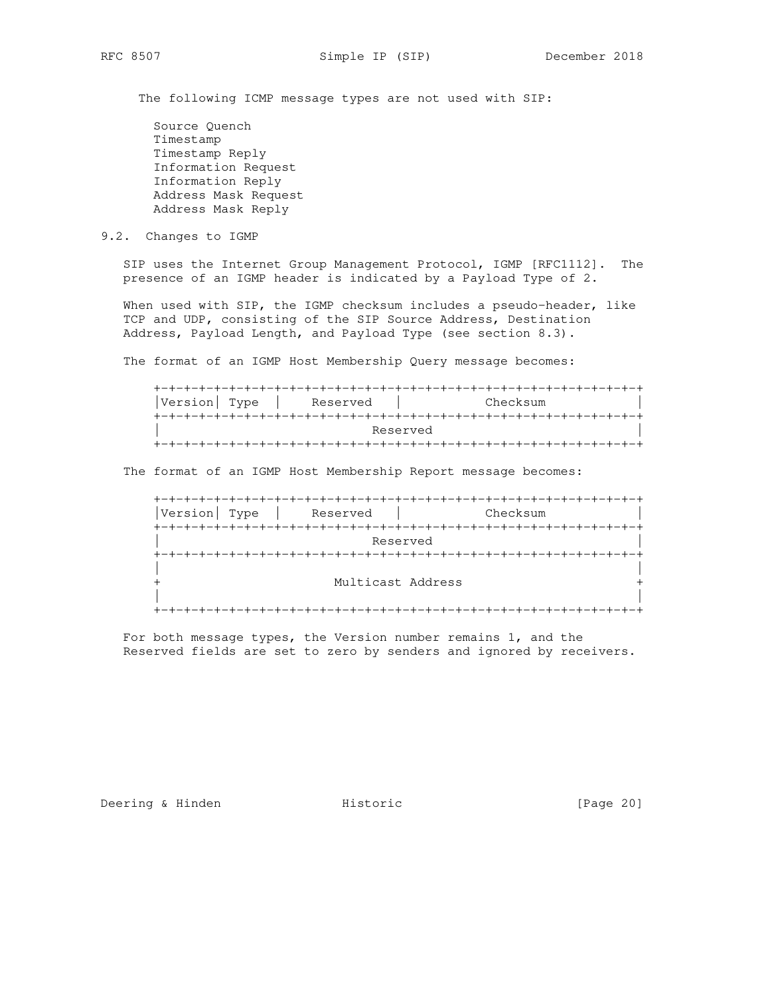The following ICMP message types are not used with SIP:

 Source Quench Timestamp Timestamp Reply Information Request Information Reply Address Mask Request Address Mask Reply

## 9.2. Changes to IGMP

 SIP uses the Internet Group Management Protocol, IGMP [RFC1112]. The presence of an IGMP header is indicated by a Payload Type of 2.

When used with SIP, the IGMP checksum includes a pseudo-header, like TCP and UDP, consisting of the SIP Source Address, Destination Address, Payload Length, and Payload Type (see section 8.3).

The format of an IGMP Host Membership Query message becomes:

| Checksum<br> Version  Type<br>Reserved |
|----------------------------------------|
|                                        |
| Reserved                               |
|                                        |

The format of an IGMP Host Membership Report message becomes:

| Version<br>Type | Reserved          | Checksum |
|-----------------|-------------------|----------|
|                 |                   |          |
|                 | Reserved          |          |
|                 |                   |          |
|                 |                   |          |
|                 | Multicast Address |          |
|                 |                   |          |
|                 |                   |          |

 For both message types, the Version number remains 1, and the Reserved fields are set to zero by senders and ignored by receivers.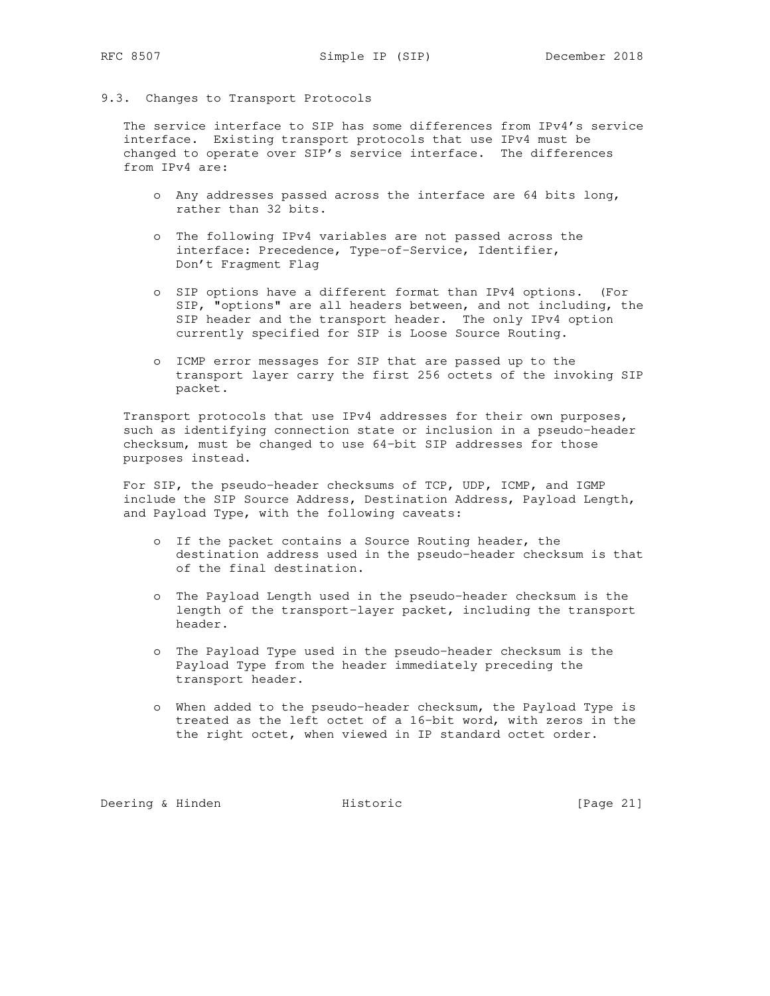## 9.3. Changes to Transport Protocols

 The service interface to SIP has some differences from IPv4's service interface. Existing transport protocols that use IPv4 must be changed to operate over SIP's service interface. The differences from IPv4 are:

- o Any addresses passed across the interface are 64 bits long, rather than 32 bits.
- o The following IPv4 variables are not passed across the interface: Precedence, Type-of-Service, Identifier, Don't Fragment Flag
- o SIP options have a different format than IPv4 options. (For SIP, "options" are all headers between, and not including, the SIP header and the transport header. The only IPv4 option currently specified for SIP is Loose Source Routing.
- o ICMP error messages for SIP that are passed up to the transport layer carry the first 256 octets of the invoking SIP packet.

 Transport protocols that use IPv4 addresses for their own purposes, such as identifying connection state or inclusion in a pseudo-header checksum, must be changed to use 64-bit SIP addresses for those purposes instead.

 For SIP, the pseudo-header checksums of TCP, UDP, ICMP, and IGMP include the SIP Source Address, Destination Address, Payload Length, and Payload Type, with the following caveats:

- o If the packet contains a Source Routing header, the destination address used in the pseudo-header checksum is that of the final destination.
- o The Payload Length used in the pseudo-header checksum is the length of the transport-layer packet, including the transport header.
- o The Payload Type used in the pseudo-header checksum is the Payload Type from the header immediately preceding the transport header.
- o When added to the pseudo-header checksum, the Payload Type is treated as the left octet of a 16-bit word, with zeros in the the right octet, when viewed in IP standard octet order.

Deering & Hinden **Historic** Filth Historic [Page 21]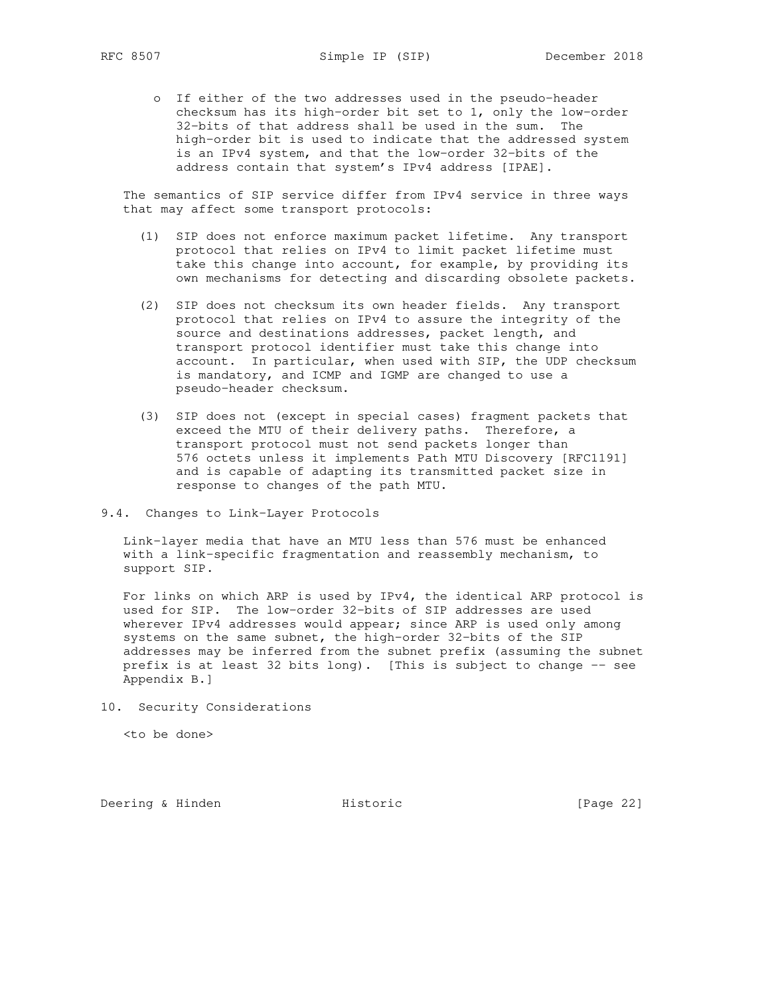o If either of the two addresses used in the pseudo-header checksum has its high-order bit set to 1, only the low-order 32-bits of that address shall be used in the sum. The high-order bit is used to indicate that the addressed system is an IPv4 system, and that the low-order 32-bits of the address contain that system's IPv4 address [IPAE].

 The semantics of SIP service differ from IPv4 service in three ways that may affect some transport protocols:

- (1) SIP does not enforce maximum packet lifetime. Any transport protocol that relies on IPv4 to limit packet lifetime must take this change into account, for example, by providing its own mechanisms for detecting and discarding obsolete packets.
- (2) SIP does not checksum its own header fields. Any transport protocol that relies on IPv4 to assure the integrity of the source and destinations addresses, packet length, and transport protocol identifier must take this change into account. In particular, when used with SIP, the UDP checksum is mandatory, and ICMP and IGMP are changed to use a pseudo-header checksum.
- (3) SIP does not (except in special cases) fragment packets that exceed the MTU of their delivery paths. Therefore, a transport protocol must not send packets longer than 576 octets unless it implements Path MTU Discovery [RFC1191] and is capable of adapting its transmitted packet size in response to changes of the path MTU.
- 9.4. Changes to Link-Layer Protocols

 Link-layer media that have an MTU less than 576 must be enhanced with a link-specific fragmentation and reassembly mechanism, to support SIP.

 For links on which ARP is used by IPv4, the identical ARP protocol is used for SIP. The low-order 32-bits of SIP addresses are used wherever IPv4 addresses would appear; since ARP is used only among systems on the same subnet, the high-order 32-bits of the SIP addresses may be inferred from the subnet prefix (assuming the subnet prefix is at least 32 bits long). [This is subject to change -- see Appendix B.]

10. Security Considerations

<to be done>

Deering & Hinden **Historic** Historic [Page 22]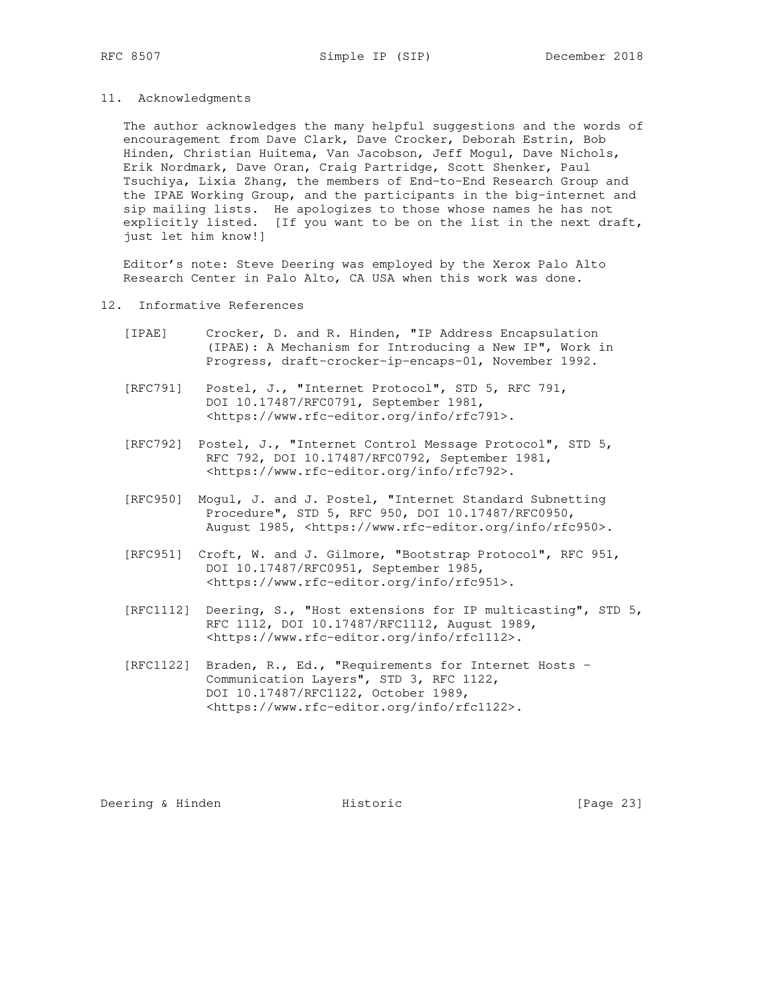### 11. Acknowledgments

 The author acknowledges the many helpful suggestions and the words of encouragement from Dave Clark, Dave Crocker, Deborah Estrin, Bob Hinden, Christian Huitema, Van Jacobson, Jeff Mogul, Dave Nichols, Erik Nordmark, Dave Oran, Craig Partridge, Scott Shenker, Paul Tsuchiya, Lixia Zhang, the members of End-to-End Research Group and the IPAE Working Group, and the participants in the big-internet and sip mailing lists. He apologizes to those whose names he has not explicitly listed. [If you want to be on the list in the next draft, just let him know!]

 Editor's note: Steve Deering was employed by the Xerox Palo Alto Research Center in Palo Alto, CA USA when this work was done.

### 12. Informative References

- [IPAE] Crocker, D. and R. Hinden, "IP Address Encapsulation (IPAE): A Mechanism for Introducing a New IP", Work in Progress, draft-crocker-ip-encaps-01, November 1992.
- [RFC791] Postel, J., "Internet Protocol", STD 5, RFC 791, DOI 10.17487/RFC0791, September 1981, <https://www.rfc-editor.org/info/rfc791>.
- [RFC792] Postel, J., "Internet Control Message Protocol", STD 5, RFC 792, DOI 10.17487/RFC0792, September 1981, <https://www.rfc-editor.org/info/rfc792>.
- [RFC950] Mogul, J. and J. Postel, "Internet Standard Subnetting Procedure", STD 5, RFC 950, DOI 10.17487/RFC0950, August 1985, <https://www.rfc-editor.org/info/rfc950>.
- [RFC951] Croft, W. and J. Gilmore, "Bootstrap Protocol", RFC 951, DOI 10.17487/RFC0951, September 1985, <https://www.rfc-editor.org/info/rfc951>.
- [RFC1112] Deering, S., "Host extensions for IP multicasting", STD 5, RFC 1112, DOI 10.17487/RFC1112, August 1989, <https://www.rfc-editor.org/info/rfc1112>.
- [RFC1122] Braden, R., Ed., "Requirements for Internet Hosts - Communication Layers", STD 3, RFC 1122, DOI 10.17487/RFC1122, October 1989, <https://www.rfc-editor.org/info/rfc1122>.

Deering & Hinden **Historic** Filter Historic [Page 23]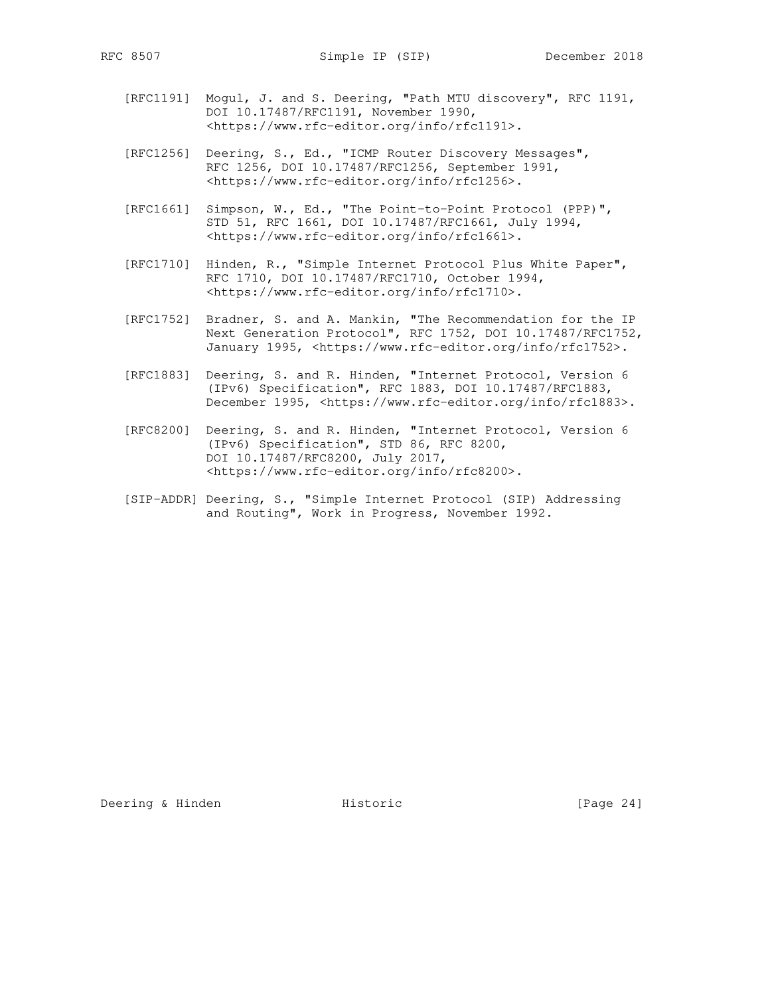- [RFC1191] Mogul, J. and S. Deering, "Path MTU discovery", RFC 1191, DOI 10.17487/RFC1191, November 1990, <https://www.rfc-editor.org/info/rfc1191>.
- [RFC1256] Deering, S., Ed., "ICMP Router Discovery Messages", RFC 1256, DOI 10.17487/RFC1256, September 1991, <https://www.rfc-editor.org/info/rfc1256>.
- [RFC1661] Simpson, W., Ed., "The Point-to-Point Protocol (PPP)", STD 51, RFC 1661, DOI 10.17487/RFC1661, July 1994, <https://www.rfc-editor.org/info/rfc1661>.
- [RFC1710] Hinden, R., "Simple Internet Protocol Plus White Paper", RFC 1710, DOI 10.17487/RFC1710, October 1994, <https://www.rfc-editor.org/info/rfc1710>.
- [RFC1752] Bradner, S. and A. Mankin, "The Recommendation for the IP Next Generation Protocol", RFC 1752, DOI 10.17487/RFC1752, January 1995, <https://www.rfc-editor.org/info/rfc1752>.
	- [RFC1883] Deering, S. and R. Hinden, "Internet Protocol, Version 6 (IPv6) Specification", RFC 1883, DOI 10.17487/RFC1883, December 1995, <https://www.rfc-editor.org/info/rfc1883>.
- [RFC8200] Deering, S. and R. Hinden, "Internet Protocol, Version 6 (IPv6) Specification", STD 86, RFC 8200, DOI 10.17487/RFC8200, July 2017, <https://www.rfc-editor.org/info/rfc8200>.
	- [SIP-ADDR] Deering, S., "Simple Internet Protocol (SIP) Addressing and Routing", Work in Progress, November 1992.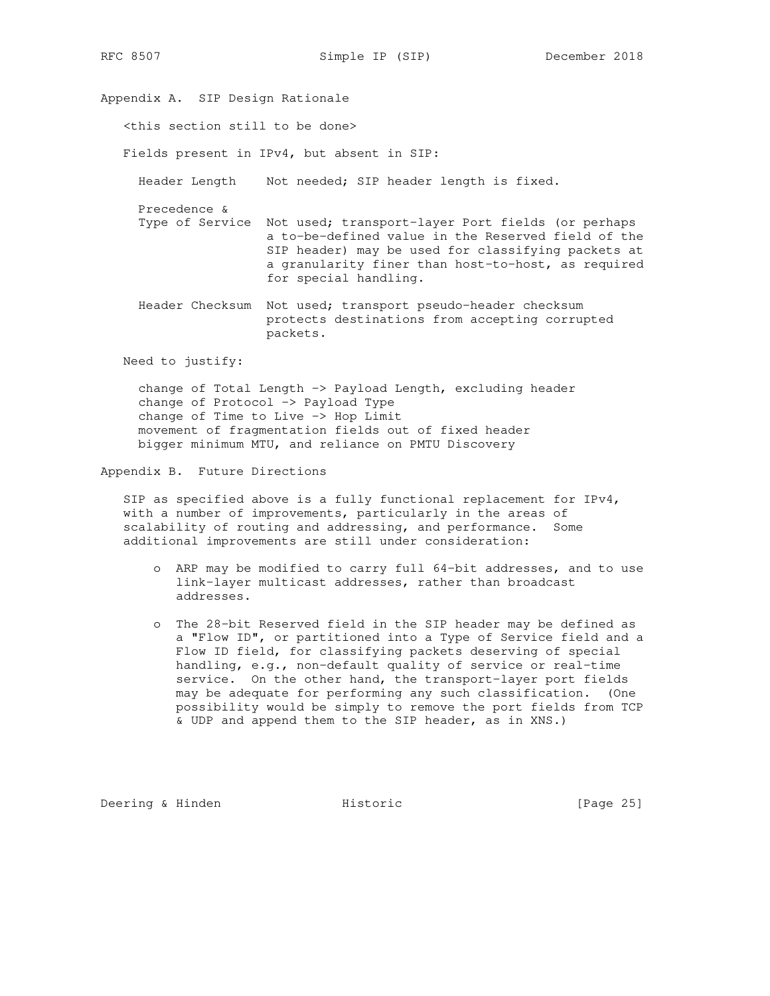<this section still to be done> Fields present in IPv4, but absent in SIP: Header Length Not needed; SIP header length is fixed. Precedence & Type of Service Not used; transport-layer Port fields (or perhaps a to-be-defined value in the Reserved field of the SIP header) may be used for classifying packets at a granularity finer than host-to-host, as required for special handling. Header Checksum Not used; transport pseudo-header checksum

 protects destinations from accepting corrupted packets.

Need to justify:

 change of Total Length -> Payload Length, excluding header change of Protocol -> Payload Type change of Time to Live -> Hop Limit movement of fragmentation fields out of fixed header bigger minimum MTU, and reliance on PMTU Discovery

Appendix B. Future Directions

Appendix A. SIP Design Rationale

 SIP as specified above is a fully functional replacement for IPv4, with a number of improvements, particularly in the areas of scalability of routing and addressing, and performance. Some additional improvements are still under consideration:

- o ARP may be modified to carry full 64-bit addresses, and to use link-layer multicast addresses, rather than broadcast addresses.
- o The 28-bit Reserved field in the SIP header may be defined as a "Flow ID", or partitioned into a Type of Service field and a Flow ID field, for classifying packets deserving of special handling, e.g., non-default quality of service or real-time service. On the other hand, the transport-layer port fields may be adequate for performing any such classification. (One possibility would be simply to remove the port fields from TCP & UDP and append them to the SIP header, as in XNS.)

Deering & Hinden **Historic** File Research (Page 25)